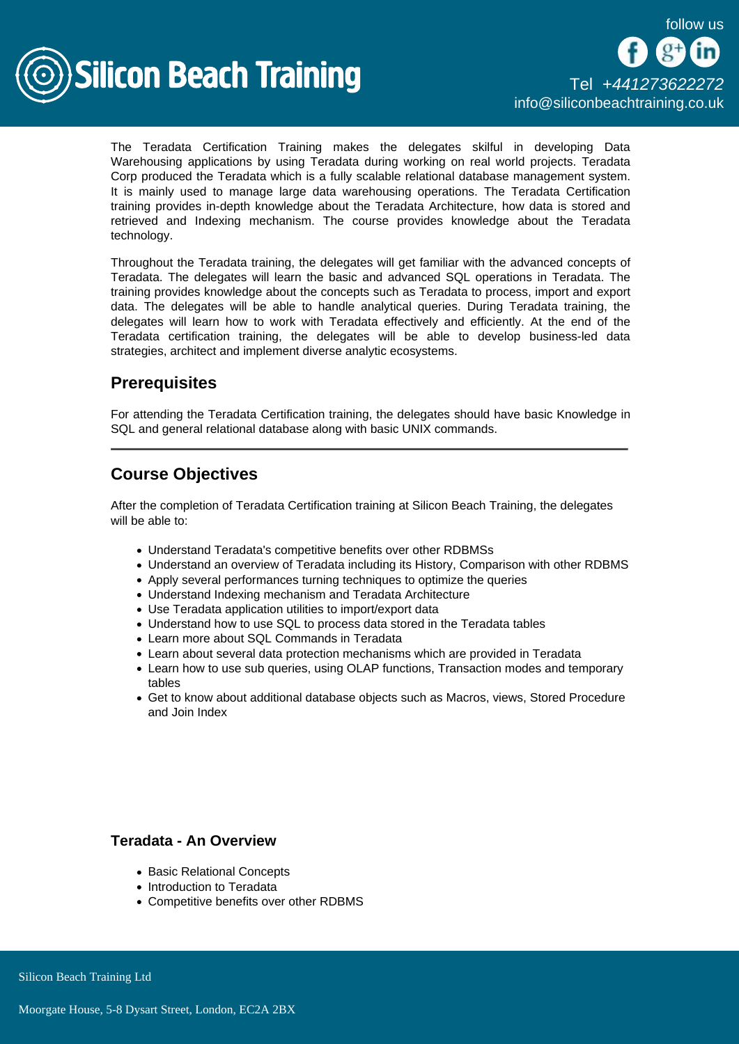

The Teradata Certification Training makes the delegates skilful in developing Data Warehousing applications by using Teradata during working on real world projects. Teradata Corp produced the Teradata which is a fully scalable relational database management system. It is mainly used to manage large data warehousing operations. The Teradata Certification training provides in-depth knowledge about the Teradata Architecture, how data is stored and retrieved and Indexing mechanism. The course provides knowledge about the Teradata technology.

Throughout the Teradata training, the delegates will get familiar with the advanced concepts of Teradata. The delegates will learn the basic and advanced SQL operations in Teradata. The training provides knowledge about the concepts such as Teradata to process, import and export data. The delegates will be able to handle analytical queries. During Teradata training, the delegates will learn how to work with Teradata effectively and efficiently. At the end of the Teradata certification training, the delegates will be able to develop business-led data strategies, architect and implement diverse analytic ecosystems.

# **Prerequisites**

For attending the Teradata Certification training, the delegates should have basic Knowledge in SQL and general relational database along with basic UNIX commands.

# Course Objectives

After the completion of Teradata Certification training at Silicon Beach Training, the delegates will be able to:

- Understand Teradata's competitive benefits over other RDBMSs
- Understand an overview of Teradata including its History, Comparison with other RDBMS
- Apply several performances turning techniques to optimize the queries
- Understand Indexing mechanism and Teradata Architecture
- Use Teradata application utilities to import/export data
- Understand how to use SQL to process data stored in the Teradata tables
- Learn more about SQL Commands in Teradata
- Learn about several data protection mechanisms which are provided in Teradata
- Learn how to use sub queries, using OLAP functions, Transaction modes and temporary tables
- Get to know about additional database objects such as Macros, views, Stored Procedure and Join Index

## Teradata - An Overview

- Basic Relational Concepts
- Introduction to Teradata
- Competitive benefits over other RDBMS

Silicon Beach Training Ltd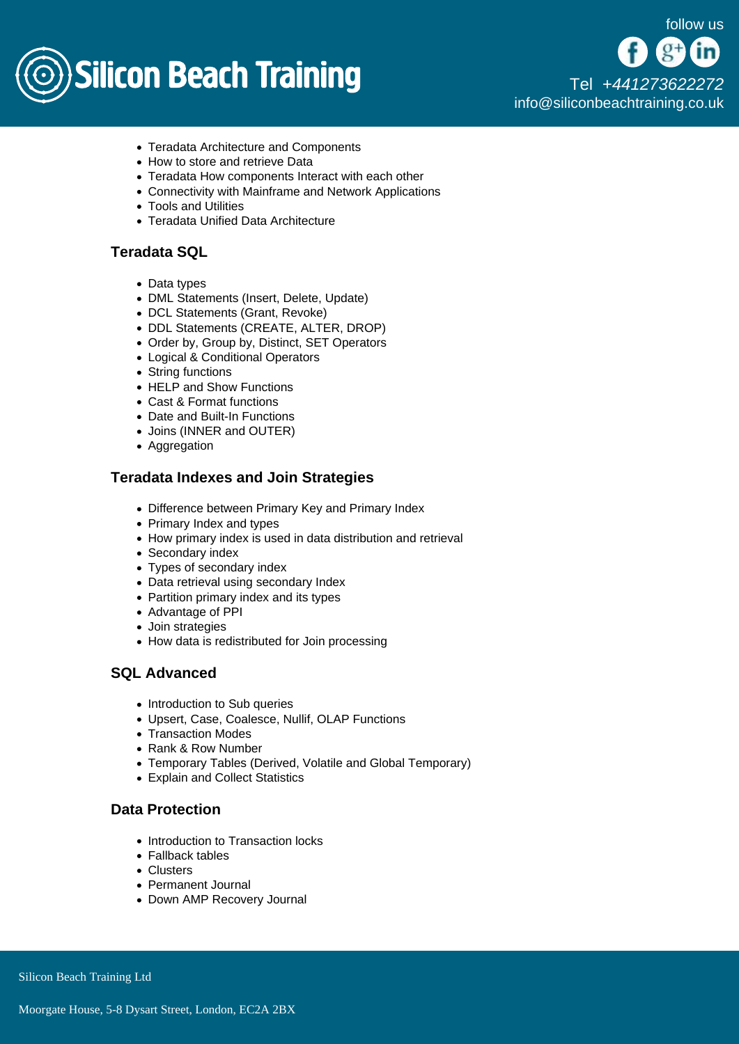

[Tel +44](tel:+441273622272)1273622272 [info@siliconbeachtraining.co.uk](/var/www/html/siliconbeachtraining.co.uk/public/mailTo:info@siliconbeachtraining.co.uk)

- Teradata Architecture and Components
- How to store and retrieve Data
- Teradata How components Interact with each other
- Connectivity with Mainframe and Network Applications
- Tools and Utilities
- Teradata Unified Data Architecture

## Teradata SQL

- Data types
- DML Statements (Insert, Delete, Update)
- DCL Statements (Grant, Revoke)
- DDL Statements (CREATE, ALTER, DROP)
- Order by, Group by, Distinct, SET Operators
- Logical & Conditional Operators
- String functions
- HELP and Show Functions
- Cast & Format functions
- Date and Built-In Functions
- Joins (INNER and OUTER)
- Aggregation

#### Teradata Indexes and Join Strategies

- Difference between Primary Key and Primary Index
- Primary Index and types
- How primary index is used in data distribution and retrieval
- Secondary index
- Types of secondary index
- Data retrieval using secondary Index
- Partition primary index and its types
- Advantage of PPI
- Join strategies
- How data is redistributed for Join processing

## SQL Advanced

- Introduction to Sub queries
- Upsert, Case, Coalesce, Nullif, OLAP Functions
- Transaction Modes
- Rank & Row Number
- Temporary Tables (Derived, Volatile and Global Temporary)
- Explain and Collect Statistics

#### Data Protection

- Introduction to Transaction locks
- Fallback tables
- Clusters
- Permanent Journal
- Down AMP Recovery Journal

Silicon Beach Training Ltd